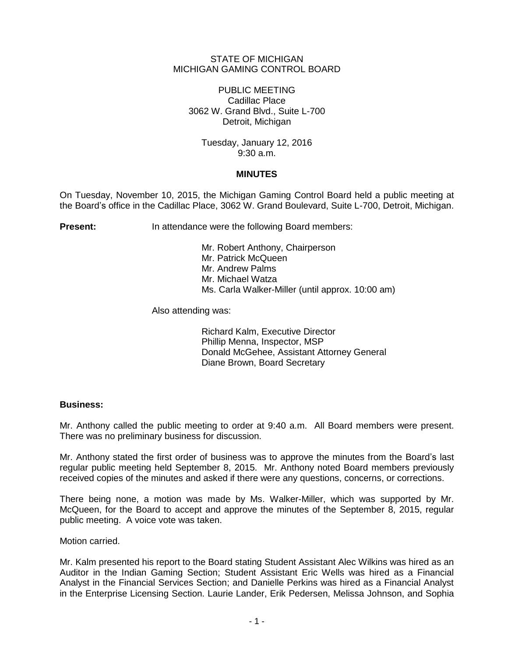# STATE OF MICHIGAN MICHIGAN GAMING CONTROL BOARD

PUBLIC MEETING Cadillac Place 3062 W. Grand Blvd., Suite L-700 Detroit, Michigan

Tuesday, January 12, 2016 9:30 a.m.

# **MINUTES**

On Tuesday, November 10, 2015, the Michigan Gaming Control Board held a public meeting at the Board's office in the Cadillac Place, 3062 W. Grand Boulevard, Suite L-700, Detroit, Michigan.

**Present:** In attendance were the following Board members:

Mr. Robert Anthony, Chairperson Mr. Patrick McQueen Mr. Andrew Palms Mr. Michael Watza Ms. Carla Walker-Miller (until approx. 10:00 am)

Also attending was:

Richard Kalm, Executive Director Phillip Menna, Inspector, MSP Donald McGehee, Assistant Attorney General Diane Brown, Board Secretary

# **Business:**

Mr. Anthony called the public meeting to order at 9:40 a.m. All Board members were present. There was no preliminary business for discussion.

Mr. Anthony stated the first order of business was to approve the minutes from the Board's last regular public meeting held September 8, 2015. Mr. Anthony noted Board members previously received copies of the minutes and asked if there were any questions, concerns, or corrections.

There being none, a motion was made by Ms. Walker-Miller, which was supported by Mr. McQueen, for the Board to accept and approve the minutes of the September 8, 2015, regular public meeting. A voice vote was taken.

Motion carried.

Mr. Kalm presented his report to the Board stating Student Assistant Alec Wilkins was hired as an Auditor in the Indian Gaming Section; Student Assistant Eric Wells was hired as a Financial Analyst in the Financial Services Section; and Danielle Perkins was hired as a Financial Analyst in the Enterprise Licensing Section. Laurie Lander, Erik Pedersen, Melissa Johnson, and Sophia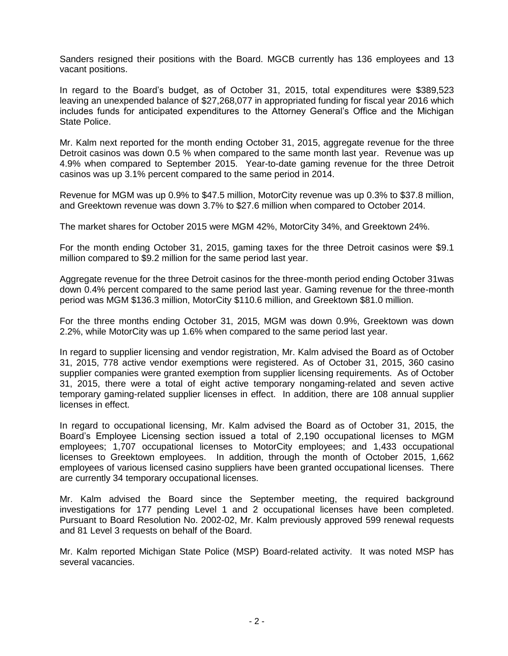Sanders resigned their positions with the Board. MGCB currently has 136 employees and 13 vacant positions.

In regard to the Board's budget, as of October 31, 2015, total expenditures were \$389,523 leaving an unexpended balance of \$27,268,077 in appropriated funding for fiscal year 2016 which includes funds for anticipated expenditures to the Attorney General's Office and the Michigan State Police.

Mr. Kalm next reported for the month ending October 31, 2015, aggregate revenue for the three Detroit casinos was down 0.5 % when compared to the same month last year. Revenue was up 4.9% when compared to September 2015. Year-to-date gaming revenue for the three Detroit casinos was up 3.1% percent compared to the same period in 2014.

Revenue for MGM was up 0.9% to \$47.5 million, MotorCity revenue was up 0.3% to \$37.8 million, and Greektown revenue was down 3.7% to \$27.6 million when compared to October 2014.

The market shares for October 2015 were MGM 42%, MotorCity 34%, and Greektown 24%.

For the month ending October 31, 2015, gaming taxes for the three Detroit casinos were \$9.1 million compared to \$9.2 million for the same period last year.

Aggregate revenue for the three Detroit casinos for the three-month period ending October 31was down 0.4% percent compared to the same period last year. Gaming revenue for the three-month period was MGM \$136.3 million, MotorCity \$110.6 million, and Greektown \$81.0 million.

For the three months ending October 31, 2015, MGM was down 0.9%, Greektown was down 2.2%, while MotorCity was up 1.6% when compared to the same period last year.

In regard to supplier licensing and vendor registration, Mr. Kalm advised the Board as of October 31, 2015, 778 active vendor exemptions were registered. As of October 31, 2015, 360 casino supplier companies were granted exemption from supplier licensing requirements. As of October 31, 2015, there were a total of eight active temporary nongaming-related and seven active temporary gaming-related supplier licenses in effect. In addition, there are 108 annual supplier licenses in effect.

In regard to occupational licensing, Mr. Kalm advised the Board as of October 31, 2015, the Board's Employee Licensing section issued a total of 2,190 occupational licenses to MGM employees; 1,707 occupational licenses to MotorCity employees; and 1,433 occupational licenses to Greektown employees. In addition, through the month of October 2015, 1,662 employees of various licensed casino suppliers have been granted occupational licenses. There are currently 34 temporary occupational licenses.

Mr. Kalm advised the Board since the September meeting, the required background investigations for 177 pending Level 1 and 2 occupational licenses have been completed. Pursuant to Board Resolution No. 2002-02, Mr. Kalm previously approved 599 renewal requests and 81 Level 3 requests on behalf of the Board.

Mr. Kalm reported Michigan State Police (MSP) Board-related activity. It was noted MSP has several vacancies.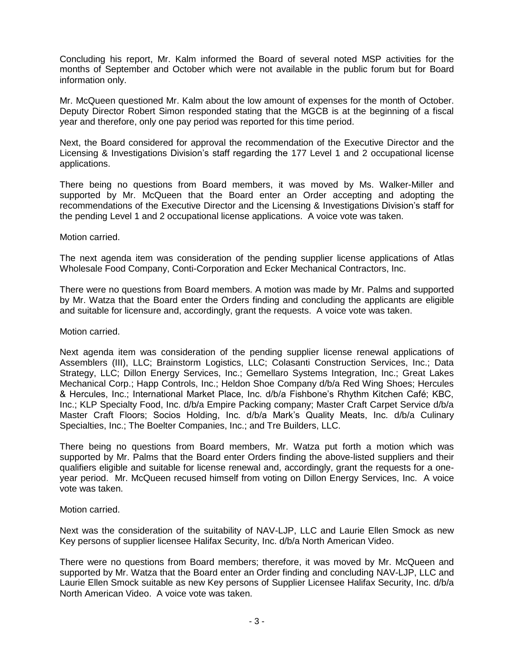Concluding his report, Mr. Kalm informed the Board of several noted MSP activities for the months of September and October which were not available in the public forum but for Board information only.

Mr. McQueen questioned Mr. Kalm about the low amount of expenses for the month of October. Deputy Director Robert Simon responded stating that the MGCB is at the beginning of a fiscal year and therefore, only one pay period was reported for this time period.

Next, the Board considered for approval the recommendation of the Executive Director and the Licensing & Investigations Division's staff regarding the 177 Level 1 and 2 occupational license applications.

There being no questions from Board members, it was moved by Ms. Walker-Miller and supported by Mr. McQueen that the Board enter an Order accepting and adopting the recommendations of the Executive Director and the Licensing & Investigations Division's staff for the pending Level 1 and 2 occupational license applications. A voice vote was taken.

Motion carried.

The next agenda item was consideration of the pending supplier license applications of Atlas Wholesale Food Company, Conti-Corporation and Ecker Mechanical Contractors, Inc.

There were no questions from Board members. A motion was made by Mr. Palms and supported by Mr. Watza that the Board enter the Orders finding and concluding the applicants are eligible and suitable for licensure and, accordingly, grant the requests. A voice vote was taken.

Motion carried.

Next agenda item was consideration of the pending supplier license renewal applications of Assemblers (III), LLC; Brainstorm Logistics, LLC; Colasanti Construction Services, Inc.; Data Strategy, LLC; Dillon Energy Services, Inc.; Gemellaro Systems Integration, Inc.; Great Lakes Mechanical Corp.; Happ Controls, Inc.; Heldon Shoe Company d/b/a Red Wing Shoes; Hercules & Hercules, Inc.; International Market Place, Inc. d/b/a Fishbone's Rhythm Kitchen Café; KBC, Inc.; KLP Specialty Food, Inc. d/b/a Empire Packing company; Master Craft Carpet Service d/b/a Master Craft Floors; Socios Holding, Inc. d/b/a Mark's Quality Meats, Inc. d/b/a Culinary Specialties, Inc.; The Boelter Companies, Inc.; and Tre Builders, LLC.

There being no questions from Board members, Mr. Watza put forth a motion which was supported by Mr. Palms that the Board enter Orders finding the above-listed suppliers and their qualifiers eligible and suitable for license renewal and, accordingly, grant the requests for a oneyear period. Mr. McQueen recused himself from voting on Dillon Energy Services, Inc. A voice vote was taken.

Motion carried.

Next was the consideration of the suitability of NAV-LJP, LLC and Laurie Ellen Smock as new Key persons of supplier licensee Halifax Security, Inc. d/b/a North American Video.

There were no questions from Board members; therefore, it was moved by Mr. McQueen and supported by Mr. Watza that the Board enter an Order finding and concluding NAV-LJP, LLC and Laurie Ellen Smock suitable as new Key persons of Supplier Licensee Halifax Security, Inc. d/b/a North American Video. A voice vote was taken.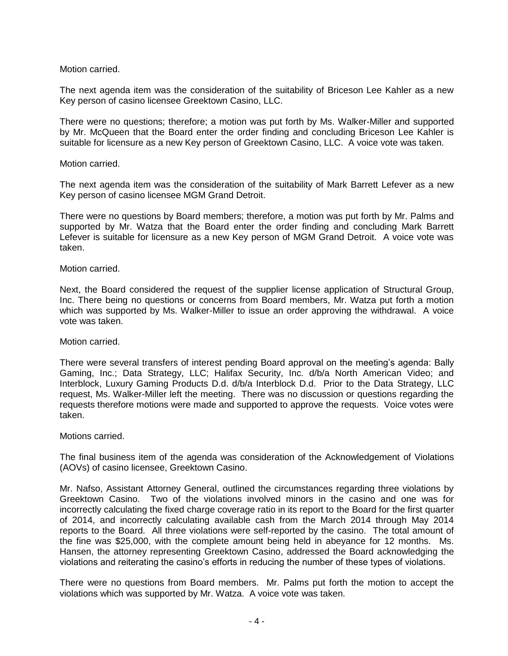Motion carried.

The next agenda item was the consideration of the suitability of Briceson Lee Kahler as a new Key person of casino licensee Greektown Casino, LLC.

There were no questions; therefore; a motion was put forth by Ms. Walker-Miller and supported by Mr. McQueen that the Board enter the order finding and concluding Briceson Lee Kahler is suitable for licensure as a new Key person of Greektown Casino, LLC. A voice vote was taken.

# Motion carried.

The next agenda item was the consideration of the suitability of Mark Barrett Lefever as a new Key person of casino licensee MGM Grand Detroit.

There were no questions by Board members; therefore, a motion was put forth by Mr. Palms and supported by Mr. Watza that the Board enter the order finding and concluding Mark Barrett Lefever is suitable for licensure as a new Key person of MGM Grand Detroit. A voice vote was taken.

# Motion carried.

Next, the Board considered the request of the supplier license application of Structural Group, Inc. There being no questions or concerns from Board members, Mr. Watza put forth a motion which was supported by Ms. Walker-Miller to issue an order approving the withdrawal. A voice vote was taken.

# Motion carried.

There were several transfers of interest pending Board approval on the meeting's agenda: Bally Gaming, Inc.; Data Strategy, LLC; Halifax Security, Inc. d/b/a North American Video; and Interblock, Luxury Gaming Products D.d. d/b/a Interblock D.d. Prior to the Data Strategy, LLC request, Ms. Walker-Miller left the meeting. There was no discussion or questions regarding the requests therefore motions were made and supported to approve the requests. Voice votes were taken.

# Motions carried.

The final business item of the agenda was consideration of the Acknowledgement of Violations (AOVs) of casino licensee, Greektown Casino.

Mr. Nafso, Assistant Attorney General, outlined the circumstances regarding three violations by Greektown Casino. Two of the violations involved minors in the casino and one was for incorrectly calculating the fixed charge coverage ratio in its report to the Board for the first quarter of 2014, and incorrectly calculating available cash from the March 2014 through May 2014 reports to the Board. All three violations were self-reported by the casino. The total amount of the fine was \$25,000, with the complete amount being held in abeyance for 12 months. Ms. Hansen, the attorney representing Greektown Casino, addressed the Board acknowledging the violations and reiterating the casino's efforts in reducing the number of these types of violations.

There were no questions from Board members. Mr. Palms put forth the motion to accept the violations which was supported by Mr. Watza. A voice vote was taken.